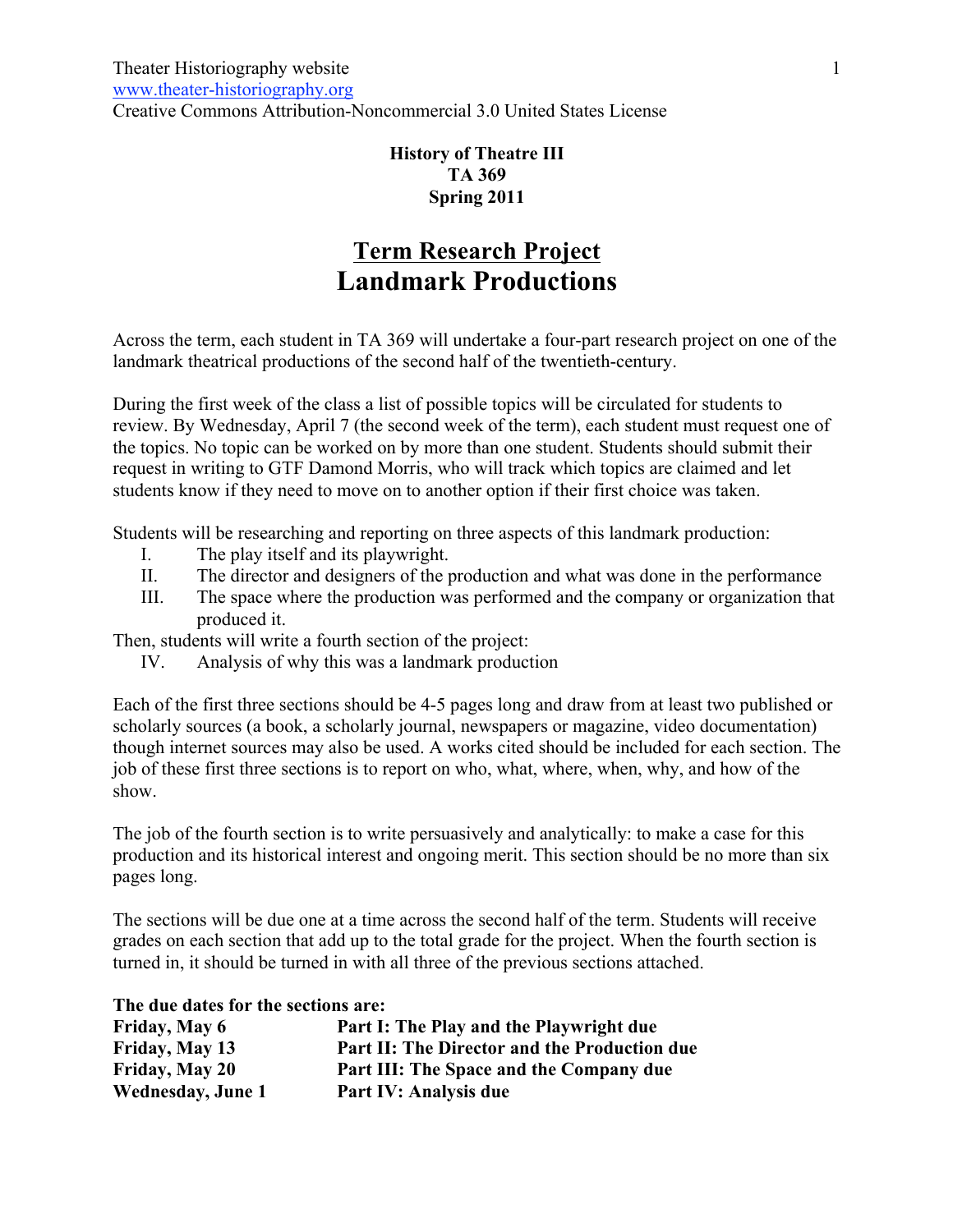## **History of Theatre III TA 369 Spring 2011**

# **Term Research Project Landmark Productions**

Across the term, each student in TA 369 will undertake a four-part research project on one of the landmark theatrical productions of the second half of the twentieth-century.

During the first week of the class a list of possible topics will be circulated for students to review. By Wednesday, April 7 (the second week of the term), each student must request one of the topics. No topic can be worked on by more than one student. Students should submit their request in writing to GTF Damond Morris, who will track which topics are claimed and let students know if they need to move on to another option if their first choice was taken.

Students will be researching and reporting on three aspects of this landmark production:

- I. The play itself and its playwright.
- II. The director and designers of the production and what was done in the performance
- III. The space where the production was performed and the company or organization that produced it.

Then, students will write a fourth section of the project:

IV. Analysis of why this was a landmark production

Each of the first three sections should be 4-5 pages long and draw from at least two published or scholarly sources (a book, a scholarly journal, newspapers or magazine, video documentation) though internet sources may also be used. A works cited should be included for each section. The job of these first three sections is to report on who, what, where, when, why, and how of the show.

The job of the fourth section is to write persuasively and analytically: to make a case for this production and its historical interest and ongoing merit. This section should be no more than six pages long.

The sections will be due one at a time across the second half of the term. Students will receive grades on each section that add up to the total grade for the project. When the fourth section is turned in, it should be turned in with all three of the previous sections attached.

|  | The due dates for the sections are: |
|--|-------------------------------------|
|--|-------------------------------------|

| Friday, May 6            | Part I: The Play and the Playwright due      |
|--------------------------|----------------------------------------------|
| Friday, May 13           | Part II: The Director and the Production due |
| Friday, May 20           | Part III: The Space and the Company due      |
| <b>Wednesday, June 1</b> | Part IV: Analysis due                        |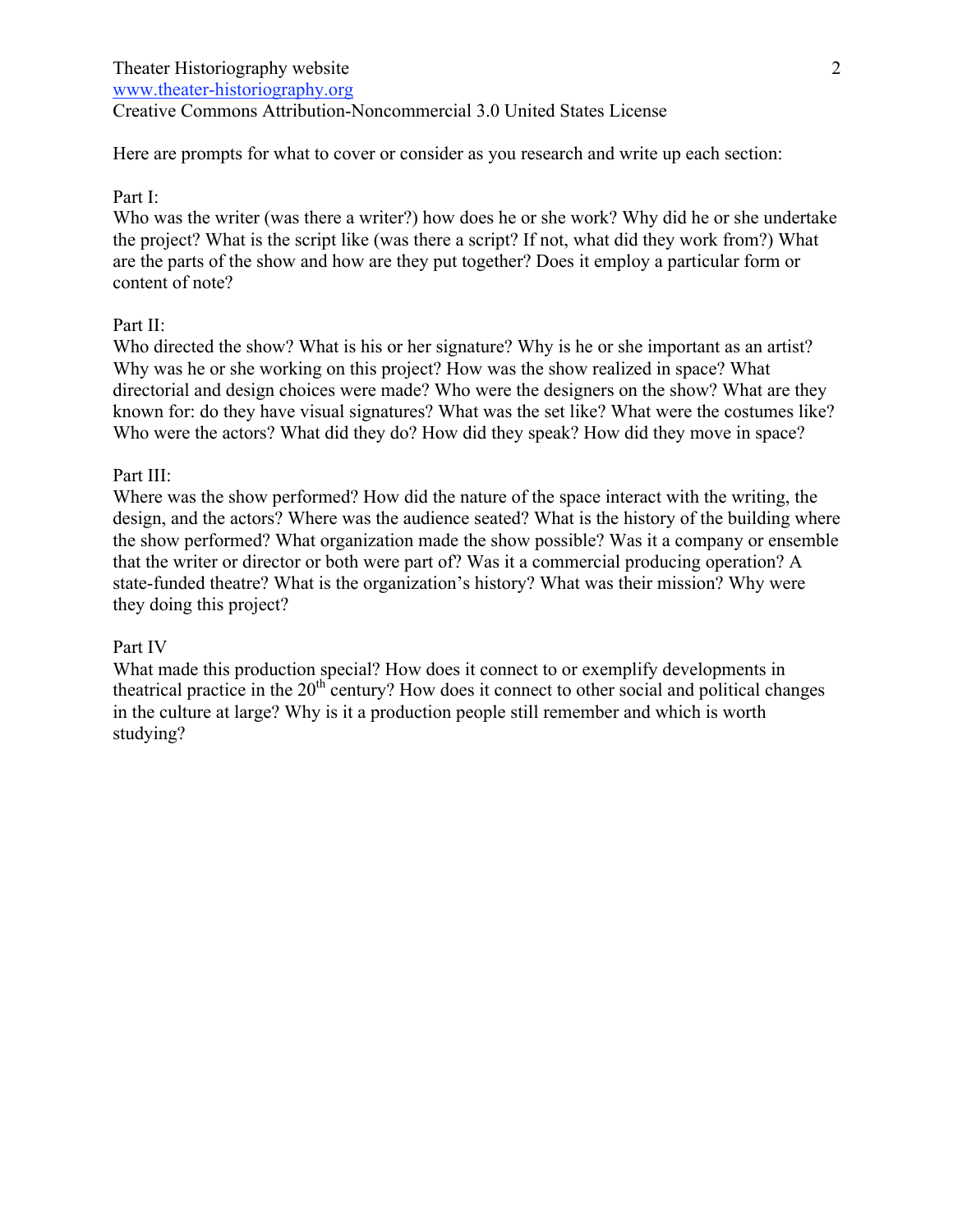www.theater-historiography.org

Creative Commons Attribution-Noncommercial 3.0 United States License

Here are prompts for what to cover or consider as you research and write up each section:

## Part I:

Who was the writer (was there a writer?) how does he or she work? Why did he or she undertake the project? What is the script like (was there a script? If not, what did they work from?) What are the parts of the show and how are they put together? Does it employ a particular form or content of note?

## Part II:

Who directed the show? What is his or her signature? Why is he or she important as an artist? Why was he or she working on this project? How was the show realized in space? What directorial and design choices were made? Who were the designers on the show? What are they known for: do they have visual signatures? What was the set like? What were the costumes like? Who were the actors? What did they do? How did they speak? How did they move in space?

#### Part III:

Where was the show performed? How did the nature of the space interact with the writing, the design, and the actors? Where was the audience seated? What is the history of the building where the show performed? What organization made the show possible? Was it a company or ensemble that the writer or director or both were part of? Was it a commercial producing operation? A state-funded theatre? What is the organization's history? What was their mission? Why were they doing this project?

#### Part IV

What made this production special? How does it connect to or exemplify developments in theatrical practice in the  $20<sup>th</sup>$  century? How does it connect to other social and political changes in the culture at large? Why is it a production people still remember and which is worth studying?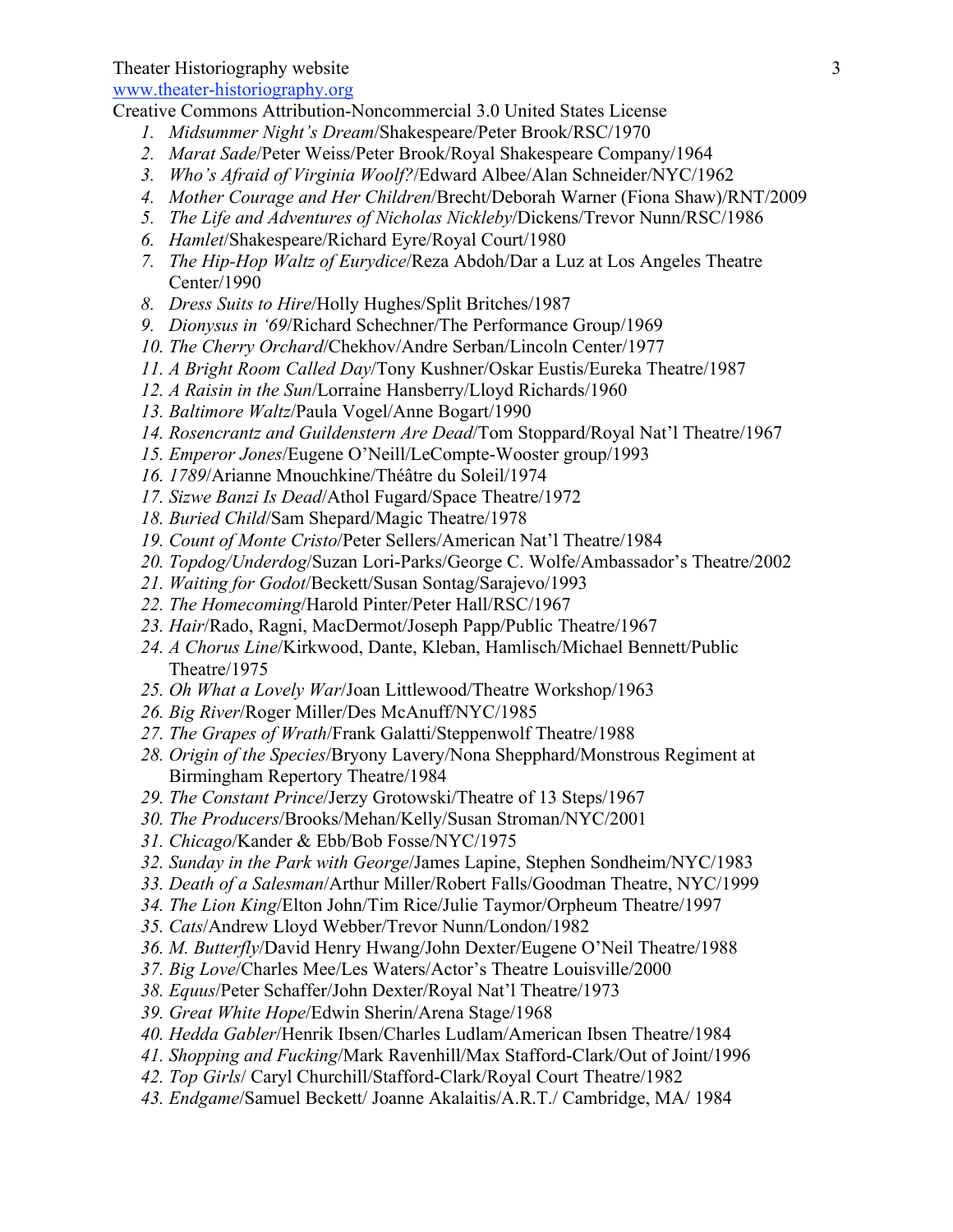www.theater-historiography.org

Creative Commons Attribution-Noncommercial 3.0 United States License

- *1. Midsummer Night's Dream*/Shakespeare/Peter Brook/RSC/1970
- *2. Marat Sade*/Peter Weiss/Peter Brook/Royal Shakespeare Company/1964
- *3. Who's Afraid of Virginia Woolf?*/Edward Albee/Alan Schneider/NYC/1962
- *4. Mother Courage and Her Children*/Brecht/Deborah Warner (Fiona Shaw)/RNT/2009
- *5. The Life and Adventures of Nicholas Nickleby*/Dickens/Trevor Nunn/RSC/1986
- *6. Hamlet*/Shakespeare/Richard Eyre/Royal Court/1980
- *7. The Hip-Hop Waltz of Eurydice*/Reza Abdoh/Dar a Luz at Los Angeles Theatre Center/1990
- *8. Dress Suits to Hire*/Holly Hughes/Split Britches/1987
- *9. Dionysus in '69*/Richard Schechner/The Performance Group/1969
- *10. The Cherry Orchard*/Chekhov/Andre Serban/Lincoln Center/1977
- *11. A Bright Room Called Day*/Tony Kushner/Oskar Eustis/Eureka Theatre/1987
- *12. A Raisin in the Sun*/Lorraine Hansberry/Lloyd Richards/1960
- *13. Baltimore Waltz*/Paula Vogel/Anne Bogart/1990
- *14. Rosencrantz and Guildenstern Are Dead*/Tom Stoppard/Royal Nat'l Theatre/1967
- *15. Emperor Jones*/Eugene O'Neill/LeCompte-Wooster group/1993
- *16. 1789*/Arianne Mnouchkine/Théâtre du Soleil/1974
- *17. Sizwe Banzi Is Dead*/Athol Fugard/Space Theatre/1972
- *18. Buried Child*/Sam Shepard/Magic Theatre/1978
- *19. Count of Monte Cristo*/Peter Sellers/American Nat'l Theatre/1984
- *20. Topdog/Underdog*/Suzan Lori-Parks/George C. Wolfe/Ambassador's Theatre/2002
- *21. Waiting for Godot*/Beckett/Susan Sontag/Sarajevo/1993
- *22. The Homecoming*/Harold Pinter/Peter Hall/RSC/1967
- *23. Hair*/Rado, Ragni, MacDermot/Joseph Papp/Public Theatre/1967
- *24. A Chorus Line*/Kirkwood, Dante, Kleban, Hamlisch/Michael Bennett/Public Theatre/1975
- *25. Oh What a Lovely War*/Joan Littlewood/Theatre Workshop/1963
- *26. Big River*/Roger Miller/Des McAnuff/NYC/1985
- *27. The Grapes of Wrath*/Frank Galatti/Steppenwolf Theatre/1988
- *28. Origin of the Species*/Bryony Lavery/Nona Shepphard/Monstrous Regiment at Birmingham Repertory Theatre/1984
- *29. The Constant Prince*/Jerzy Grotowski/Theatre of 13 Steps/1967
- *30. The Producers*/Brooks/Mehan/Kelly/Susan Stroman/NYC/2001
- *31. Chicago*/Kander & Ebb/Bob Fosse/NYC/1975
- *32. Sunday in the Park with George*/James Lapine, Stephen Sondheim/NYC/1983
- *33. Death of a Salesman*/Arthur Miller/Robert Falls/Goodman Theatre, NYC/1999
- *34. The Lion King*/Elton John/Tim Rice/Julie Taymor/Orpheum Theatre/1997
- *35. Cats*/Andrew Lloyd Webber/Trevor Nunn/London/1982
- *36. M. Butterfly*/David Henry Hwang/John Dexter/Eugene O'Neil Theatre/1988
- *37. Big Love*/Charles Mee/Les Waters/Actor's Theatre Louisville/2000
- *38. Equus*/Peter Schaffer/John Dexter/Royal Nat'l Theatre/1973
- *39. Great White Hope*/Edwin Sherin/Arena Stage/1968
- *40. Hedda Gabler*/Henrik Ibsen/Charles Ludlam/American Ibsen Theatre/1984
- *41. Shopping and Fucking*/Mark Ravenhill/Max Stafford-Clark/Out of Joint/1996
- *42. Top Girls*/ Caryl Churchill/Stafford-Clark/Royal Court Theatre/1982
- *43. Endgame*/Samuel Beckett/ Joanne Akalaitis/A.R.T./ Cambridge, MA/ 1984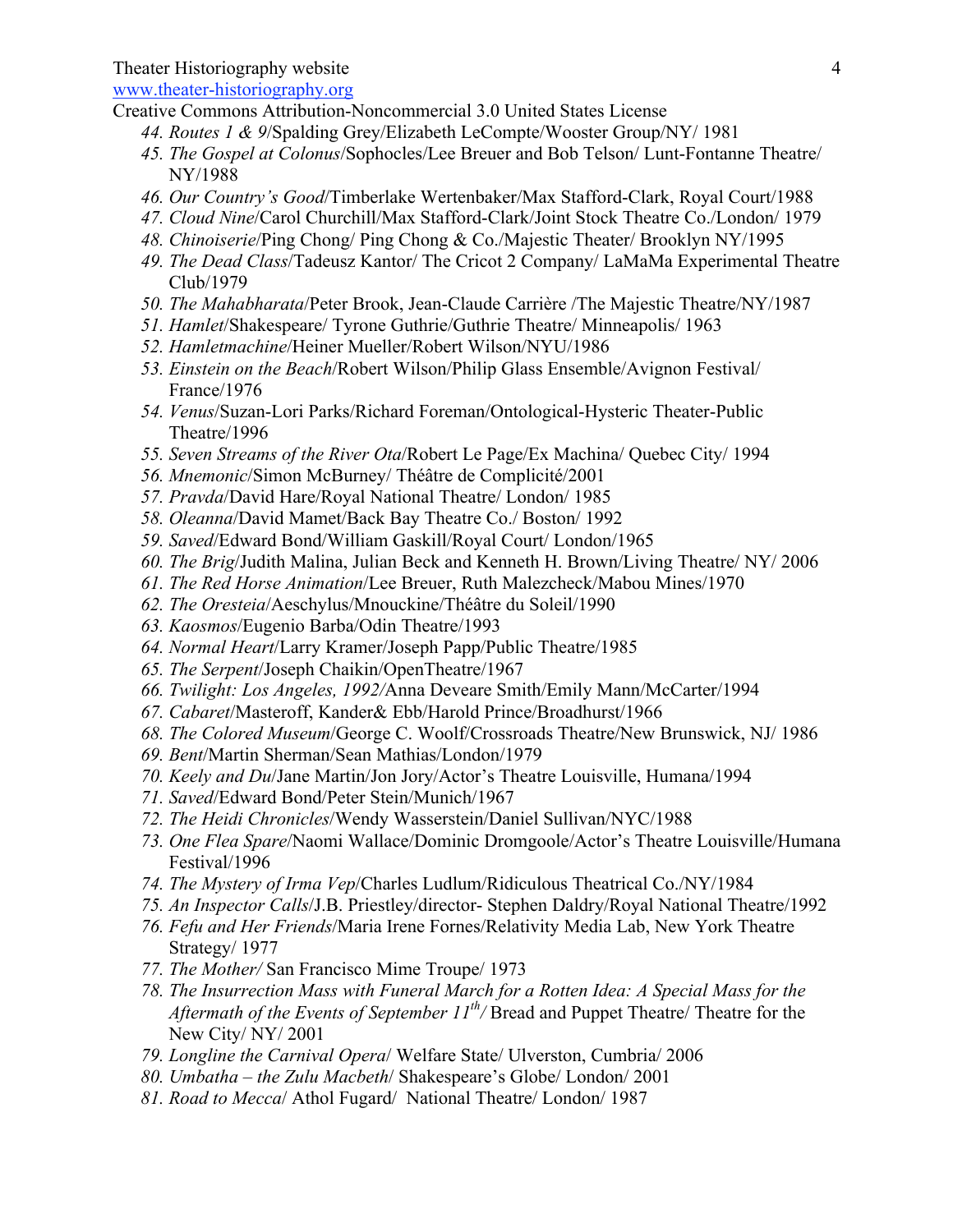www.theater-historiography.org

- Creative Commons Attribution-Noncommercial 3.0 United States License
	- *44. Routes 1 & 9*/Spalding Grey/Elizabeth LeCompte/Wooster Group/NY/ 1981
	- *45. The Gospel at Colonus*/Sophocles/Lee Breuer and Bob Telson/ Lunt-Fontanne Theatre/ NY/1988
	- *46. Our Country's Good*/Timberlake Wertenbaker/Max Stafford-Clark, Royal Court/1988
	- *47. Cloud Nine*/Carol Churchill/Max Stafford-Clark/Joint Stock Theatre Co./London/ 1979
	- *48. Chinoiserie*/Ping Chong/ Ping Chong & Co./Majestic Theater/ Brooklyn NY/1995
	- *49. The Dead Class*/Tadeusz Kantor/ The Cricot 2 Company/ LaMaMa Experimental Theatre Club/1979
	- *50. The Mahabharata*/Peter Brook, Jean-Claude Carrière /The Majestic Theatre/NY/1987
	- *51. Hamlet*/Shakespeare/ Tyrone Guthrie/Guthrie Theatre/ Minneapolis/ 1963
	- *52. Hamletmachine*/Heiner Mueller/Robert Wilson/NYU/1986
	- *53. Einstein on the Beach*/Robert Wilson/Philip Glass Ensemble/Avignon Festival/ France/1976
	- *54. Venus*/Suzan-Lori Parks/Richard Foreman/Ontological-Hysteric Theater-Public Theatre/1996
	- *55. Seven Streams of the River Ota*/Robert Le Page/Ex Machina/ Quebec City/ 1994
	- *56. Mnemonic*/Simon McBurney/ Théâtre de Complicité/2001
	- *57. Pravda*/David Hare/Royal National Theatre/ London/ 1985
	- *58. Oleanna*/David Mamet/Back Bay Theatre Co./ Boston/ 1992
	- *59. Saved*/Edward Bond/William Gaskill/Royal Court/ London/1965
	- *60. The Brig*/Judith Malina, Julian Beck and Kenneth H. Brown/Living Theatre/ NY/ 2006
	- *61. The Red Horse Animation*/Lee Breuer, Ruth Malezcheck/Mabou Mines/1970
	- *62. The Oresteia*/Aeschylus/Mnouckine/Théâtre du Soleil/1990
	- *63. Kaosmos*/Eugenio Barba/Odin Theatre/1993
	- *64. Normal Heart*/Larry Kramer/Joseph Papp/Public Theatre/1985
	- *65. The Serpent*/Joseph Chaikin/OpenTheatre/1967
	- *66. Twilight: Los Angeles, 1992/*Anna Deveare Smith/Emily Mann/McCarter/1994
	- *67. Cabaret*/Masteroff, Kander& Ebb/Harold Prince/Broadhurst/1966
	- *68. The Colored Museum*/George C. Woolf/Crossroads Theatre/New Brunswick, NJ/ 1986
	- *69. Bent*/Martin Sherman/Sean Mathias/London/1979
	- *70. Keely and Du*/Jane Martin/Jon Jory/Actor's Theatre Louisville, Humana/1994
	- *71. Saved*/Edward Bond/Peter Stein/Munich/1967
	- *72. The Heidi Chronicles*/Wendy Wasserstein/Daniel Sullivan/NYC/1988
	- *73. One Flea Spare*/Naomi Wallace/Dominic Dromgoole/Actor's Theatre Louisville/Humana Festival/1996
	- *74. The Mystery of Irma Vep*/Charles Ludlum/Ridiculous Theatrical Co./NY/1984
	- *75. An Inspector Calls*/J.B. Priestley/director- Stephen Daldry/Royal National Theatre/1992
	- *76. Fefu and Her Friends*/Maria Irene Fornes/Relativity Media Lab, New York Theatre Strategy/ 1977
	- *77. The Mother/* San Francisco Mime Troupe/ 1973
	- *78. The Insurrection Mass with Funeral March for a Rotten Idea: A Special Mass for the Aftermath of the Events of September 11th/* Bread and Puppet Theatre/ Theatre for the New City/ NY/ 2001
	- *79. Longline the Carnival Opera*/ Welfare State/ Ulverston, Cumbria/ 2006
	- *80. Umbatha – the Zulu Macbeth*/ Shakespeare's Globe/ London/ 2001
	- *81. Road to Mecca*/ Athol Fugard/ National Theatre/ London/ 1987